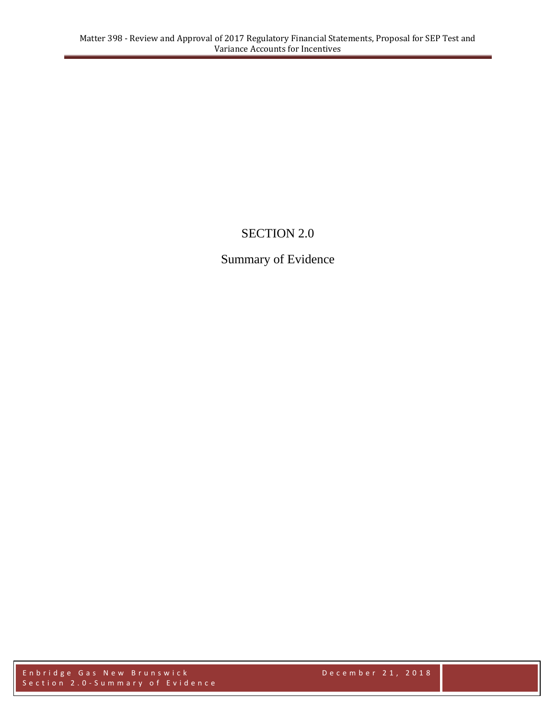# SECTION 2.0

## Summary of Evidence

Enbridge Gas New Brunswick **December 21, 2018** Section 2.0-Summary of Evidence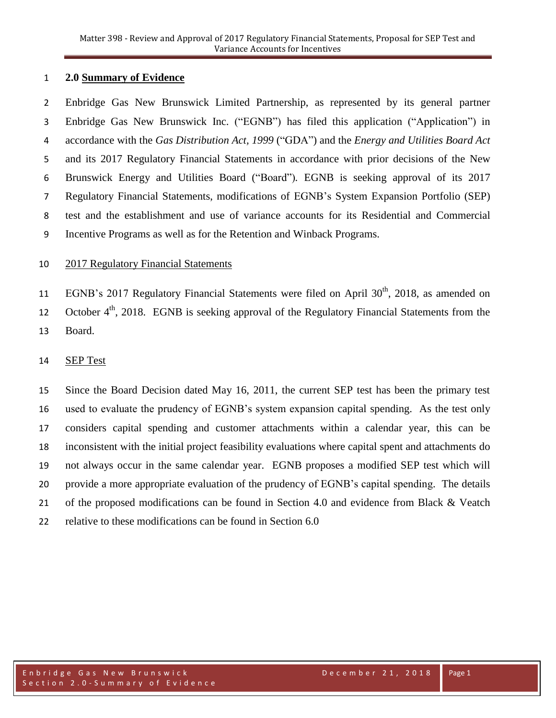## **2.0 Summary of Evidence**

 Enbridge Gas New Brunswick Limited Partnership, as represented by its general partner Enbridge Gas New Brunswick Inc. ("EGNB") has filed this application ("Application") in accordance with the *Gas Distribution Act, 1999* ("GDA") and the *Energy and Utilities Board Act* and its 2017 Regulatory Financial Statements in accordance with prior decisions of the New Brunswick Energy and Utilities Board ("Board")*.* EGNB is seeking approval of its 2017 Regulatory Financial Statements, modifications of EGNB's System Expansion Portfolio (SEP) test and the establishment and use of variance accounts for its Residential and Commercial Incentive Programs as well as for the Retention and Winback Programs.

#### 2017 Regulatory Financial Statements

11 EGNB's 2017 Regulatory Financial Statements were filed on April  $30<sup>th</sup>$ , 2018, as amended on 12 October  $4<sup>th</sup>$ , 2018. EGNB is seeking approval of the Regulatory Financial Statements from the Board.

## SEP Test

 Since the Board Decision dated May 16, 2011, the current SEP test has been the primary test used to evaluate the prudency of EGNB's system expansion capital spending. As the test only considers capital spending and customer attachments within a calendar year, this can be inconsistent with the initial project feasibility evaluations where capital spent and attachments do not always occur in the same calendar year. EGNB proposes a modified SEP test which will provide a more appropriate evaluation of the prudency of EGNB's capital spending. The details 21 of the proposed modifications can be found in Section 4.0 and evidence from Black & Veatch relative to these modifications can be found in Section 6.0